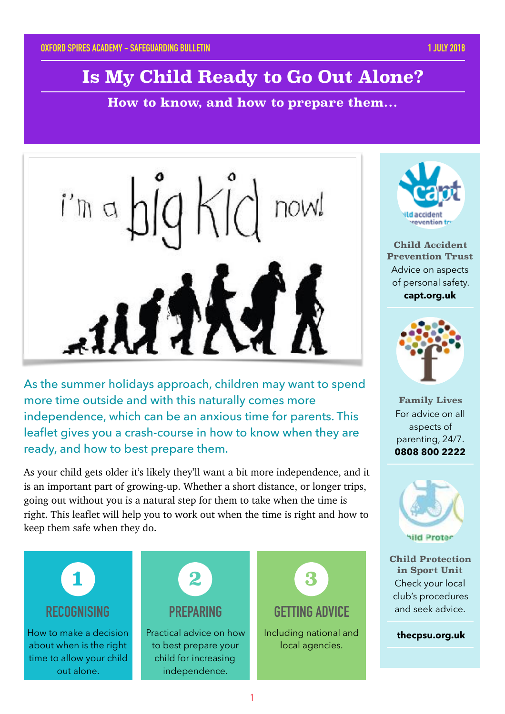# **Is My Child Ready to Go Out Alone?**

**How to know, and how to prepare them…**



As the summer holidays approach, children may want to spend more time outside and with this naturally comes more independence, which can be an anxious time for parents. This leaflet gives you a crash-course in how to know when they are ready, and how to best prepare them.

As your child gets older it's likely they'll want a bit more independence, and it is an important part of growing-up. Whether a short distance, or longer trips, going out without you is a natural step for them to take when the time is right. This leaflet will help you to work out when the time is right and how to keep them safe when they do.





**Child Accident Prevention Trust** Advice on aspects of personal safety. **capt.org.uk**



**Family Lives** For advice on all aspects of parenting, 24/7. **0808 800 2222**



**Child Protection in Sport Unit** Check your local club's procedures and seek advice.

 **thecpsu.org.uk**